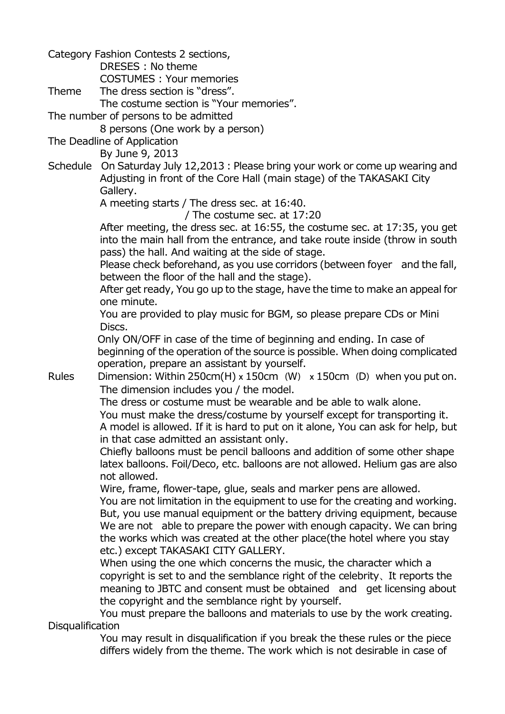Category Fashion Contests 2 sections,

DRESES : No theme

COSTUMES : Your memories

Theme The dress section is "dress".

The costume section is "Your memories".

The number of persons to be admitted

8 persons (One work by a person)

The Deadline of Application

By June 9, 2013

Schedule On Saturday July 12,2013 : Please bring your work or come up wearing and Adjusting in front of the Core Hall (main stage) of the TAKASAKI City Gallery.

A meeting starts / The dress sec. at 16:40.

/ The costume sec. at 17:20

After meeting, the dress sec. at 16:55, the costume sec. at 17:35, you get into the main hall from the entrance, and take route inside (throw in south pass) the hall. And waiting at the side of stage.

Please check beforehand, as you use corridors (between foyer and the fall, between the floor of the hall and the stage).

After get ready, You go up to the stage, have the time to make an appeal for one minute.

You are provided to play music for BGM, so please prepare CDs or Mini Discs.

Only ON/OFF in case of the time of beginning and ending. In case of beginning of the operation of the source is possible. When doing complicated operation, prepare an assistant by yourself.

Rules Dimension: Within 250cm(H)  $\times$  150cm (W)  $\times$  150cm (D) when you put on. The dimension includes you / the model.

The dress or costume must be wearable and be able to walk alone.

You must make the dress/costume by yourself except for transporting it. A model is allowed. If it is hard to put on it alone, You can ask for help, but in that case admitted an assistant only.

Chiefly balloons must be pencil balloons and addition of some other shape latex balloons. Foil/Deco, etc. balloons are not allowed. Helium gas are also not allowed.

Wire, frame, flower-tape, glue, seals and marker pens are allowed. You are not limitation in the equipment to use for the creating and working. But, you use manual equipment or the battery driving equipment, because We are not able to prepare the power with enough capacity. We can bring the works which was created at the other place(the hotel where you stay etc.) except TAKASAKI CITY GALLERY.

When using the one which concerns the music, the character which a copyright is set to and the semblance right of the celebrity、It reports the meaning to JBTC and consent must be obtained and get licensing about the copyright and the semblance right by yourself.

You must prepare the balloons and materials to use by the work creating. **Disqualification** 

 You may result in disqualification if you break the these rules or the piece differs widely from the theme. The work which is not desirable in case of